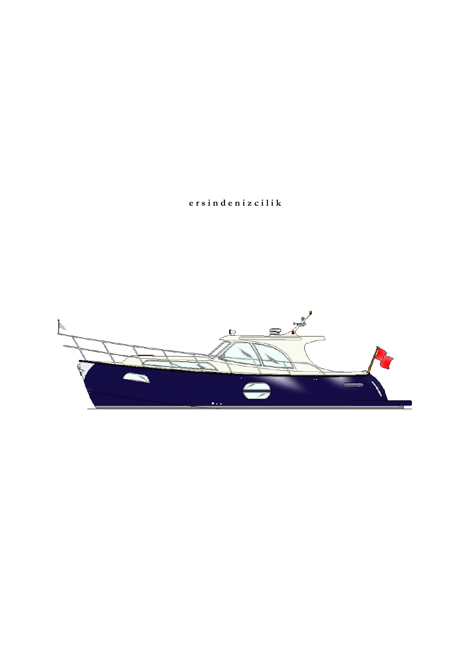# ersindenizcilik

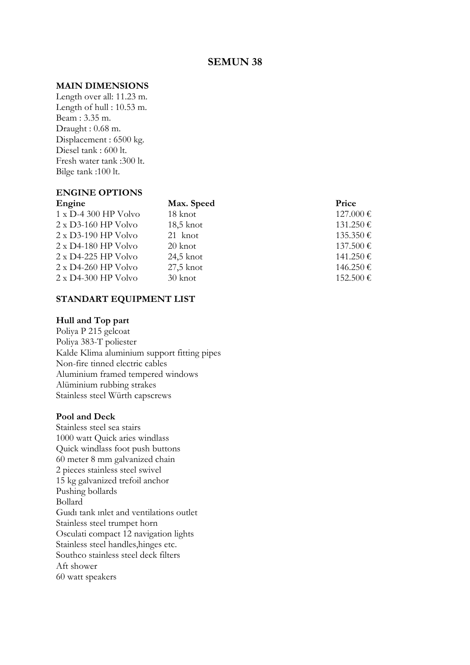## SEMUN 38

#### MAIN DIMENSIONS

Length over all: 11.23 m. Length of hull : 10.53 m. Beam : 3.35 m. Draught : 0.68 m. Displacement : 6500 kg. Diesel tank : 600 lt. Fresh water tank :300 lt. Bilge tank :100 lt.

# ENGINE OPTIONS

# Max. Speed Price

| $1 \times D-4$ 300 HP Volvo  | 18 knot     | $127.000 \in$ |
|------------------------------|-------------|---------------|
| $2 \times D3 - 160$ HP Volvo | $18,5$ knot | $131.250 \in$ |
| $2 \times D3-190$ HP Volvo   | 21 knot     | $135.350 \in$ |
| $2 \times D4 - 180$ HP Volvo | 20 knot     | 137.500 €     |
| $2 \times D4-225$ HP Volvo   | 24,5 knot   | $141.250 \in$ |
| $2 \times D4-260$ HP Volvo   | $27.5$ knot | $146.250 \in$ |
| $2 \times D4 - 300$ HP Volvo | 30 knot     | 152.500€      |
|                              |             |               |

#### STANDART EQUIPMENT LIST

### Hull and Top part

Poliya P 215 gelcoat Poliya 383-T poliester Kalde Klima aluminium support fitting pipes Non-fire tinned electric cables Aluminium framed tempered windows Alüminium rubbing strakes Stainless steel Würth capscrews

#### Pool and Deck

Stainless steel sea stairs 1000 watt Quick aries windlass Quick windlass foot push buttons 60 meter 8 mm galvanized chain 2 pieces stainless steel swivel 15 kg galvanized trefoil anchor Pushing bollards Bollard Guıdı tank ınlet and ventilations outlet Stainless steel trumpet horn Osculati compact 12 navigation lights Stainless steel handles,hinges etc. Southco stainless steel deck filters Aft shower 60 watt speakers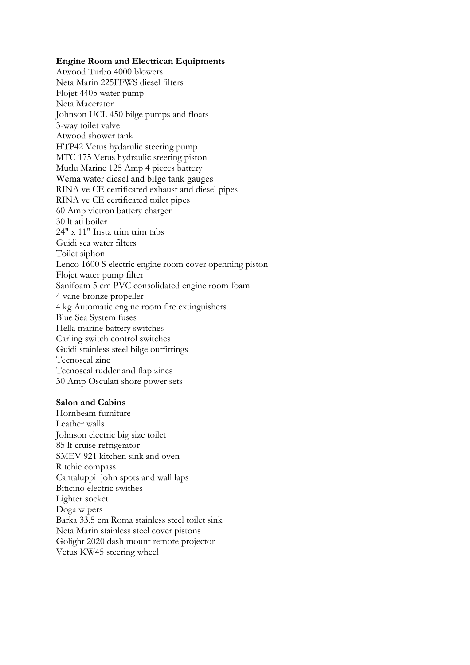#### Engine Room and Electrican Equipments

Atwood Turbo 4000 blowers Neta Marin 225FFWS diesel filters Flojet 4405 water pump Neta Macerator Johnson UCL 450 bilge pumps and floats 3-way toilet valve Atwood shower tank HTP42 Vetus hydarulic steering pump MTC 175 Vetus hydraulic steering piston Mutlu Marine 125 Amp 4 pieces battery Wema water diesel and bilge tank gauges RINA ve CE certificated exhaust and diesel pipes RINA ve CE certificated toilet pipes 60 Amp victron battery charger 30 lt ati boiler 24" x 11" Insta trim trim tabs Guidi sea water filters Toilet siphon Lenco 1600 S electric engine room cover openning piston Flojet water pump filter Sanifoam 5 cm PVC consolidated engine room foam 4 vane bronze propeller 4 kg Automatic engine room fire extinguishers Blue Sea System fuses Hella marine battery switches Carling switch control switches Guidi stainless steel bilge outfittings Tecnoseal zinc Tecnoseal rudder and flap zincs 30 Amp Osculatı shore power sets

#### Salon and Cabins

Hornbeam furniture Leather walls Johnson electric big size toilet 85 lt cruise refrigerator SMEV 921 kitchen sink and oven Ritchie compass Cantaluppi john spots and wall laps Bıtıcıno electric swithes Lighter socket Doga wipers Barka 33.5 cm Roma stainless steel toilet sink Neta Marin stainless steel cover pistons Golight 2020 dash mount remote projector Vetus KW45 steering wheel